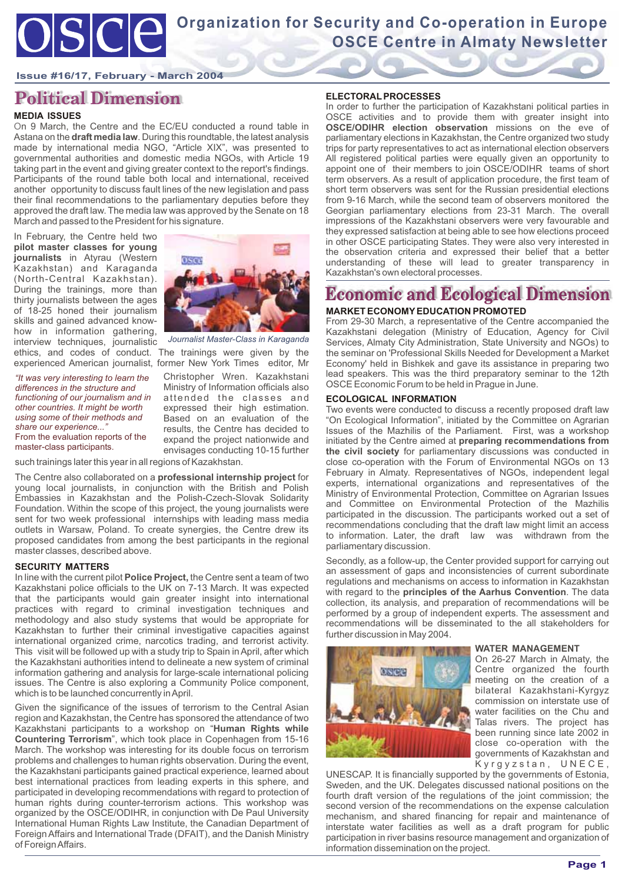### **Issue #16/17, February - March 2004**

# **Political Dimension**

### **MEDIA ISSUES**

On 9 March, the Centre and the EC/EU conducted a round table in Astana on the **draft media law**. During this roundtable, the latest analysis made by international media NGO, "Article XIX", was presented to governmental authorities and domestic media NGOs, with Article 19 taking part in the event and giving greater context to the report's findings. Participants of the round table both local and international, received another opportunity to discuss fault lines of the new legislation and pass their final recommendations to the parliamentary deputies before they approved the draft law. The media law was approved by the Senate on 18 March and passed to the President for his signature.

In February, the Centre held two **pilot master classes for young journalists** in Atyrau (Western Kazakhstan) and Karaganda (North-Central Kazakhstan). During the trainings, more than thirty journalists between the ages of 18-25 honed their journalism skills and gained advanced knowhow in information gathering, interview techniques, journalistic ethics, and codes of conduct. The trainings were given by the experienced American journalist, former New York Times editor, Mr



*Journalist Master-Class in Karaganda*

*"It was very interesting to learn the differences in the structure and functioning of our journalism and in other countries. It might be worth using some of their methods and share our experience..."* From the evaluation reports of the master-class participants.

Christopher Wren. Kazakhstani Ministry of Information officials also attended the classes and expressed their high estimation. Based on an evaluation of the results, the Centre has decided to expand the project nationwide and envisages conducting 10-15 further

such trainings later this year in all regions of Kazakhstan.

The Centre also collaborated on a **professional internship project** for young local journalists, in conjunction with the British and Polish Embassies in Kazakhstan and the Polish-Czech-Slovak Solidarity Foundation. Within the scope of this project, the young journalists were sent for two week professional internships with leading mass media outlets in Warsaw, Poland. To create synergies, the Centre drew its proposed candidates from among the best participants in the regional master classes, described above.

### **SECURITY MATTERS**

In line with the current pilot **Police Project,** the Centre sent a team of two Kazakhstani police officials to the UK on 7-13 March. It was expected that the participants would gain greater insight into international practices with regard to criminal investigation techniques and methodology and also study systems that would be appropriate for Kazakhstan to further their criminal investigative capacities against international organized crime, narcotics trading, and terrorist activity. This visit will be followed up with a study trip to Spain in April, after which the Kazakhstani authorities intend to delineate a new system of criminal information gathering and analysis for large-scale international policing issues. The Centre is also exploring a Community Police component, which is to be launched concurrently in April.

Given the significance of the issues of terrorism to the Central Asian region and Kazakhstan, the Centre has sponsored the attendance of two Kazakhstani participants to a workshop on "**Human Rights while Countering Terrorism**", which took place in Copenhagen from 15-16 March. The workshop was interesting for its double focus on terrorism problems and challenges to human rights observation. During the event, the Kazakhstani participants gained practical experience, learned about best international practices from leading experts in this sphere, and participated in developing recommendations with regard to protection of human rights during counter-terrorism actions. This workshop was organized by the OSCE/ODIHR, in conjunction with De Paul University International Human Rights Law Institute, the Canadian Department of Foreign Affairs and International Trade (DFAIT), and the Danish Ministry of Foreign Affairs.

### **ELECTORAL PROCESSES**

In order to further the participation of Kazakhstani political parties in OSCE activities and to provide them with greater insight into **OSCE/ODIHR election observation** missions on the eve of parliamentary elections in Kazakhstan, the Centre organized two study trips for party representatives to act as international election observers All registered political parties were equally given an opportunity to appoint one of their members to join OSCE/ODIHR teams of short term observers. As a result of application procedure, the first team of short term observers was sent for the Russian presidential elections from 9-16 March, while the second team of observers monitored the Georgian parliamentary elections from 23-31 March. The overall impressions of the Kazakhstani observers were very favourable and they expressed satisfaction at being able to see how elections proceed in other OSCE participating States. They were also very interested in the observation criteria and expressed their belief that a better understanding of these will lead to greater transparency in Kazakhstan's own electoral processes.

# **Economic and Ecological Dimension**

## **MARKET ECONOMY EDUCATION PROMOTED**

From 29-30 March, a representative of the Centre accompanied the Kazakhstani delegation (Ministry of Education, Agency for Civil Services, Almaty City Administration, State University and NGOs) to the seminar on 'Professional Skills Needed for Development a Market Economy' held in Bishkek and gave its assistance in preparing two lead speakers. This was the third preparatory seminar to the 12th OSCE Economic Forum to be held in Prague in June.

#### **ECOLOGICAL INFORMATION**

Two events were conducted to discuss a recently proposed draft law "On Ecological Information", initiated by the Committee on Agrarian Issues of the Mazhilis of the Parliament. First, was a workshop initiated by the Centre aimed at **preparing recommendations from the civil society** for parliamentary discussions was conducted in close co-operation with the Forum of Environmental NGOs on 13 February in Almaty. Representatives of NGOs, independent legal experts, international organizations and representatives of the Ministry of Environmental Protection, Committee on Agrarian Issues and Committee on Environmental Protection of the Mazhilis participated in the discussion. The participants worked out a set of recommendations concluding that the draft law might limit an access to information. Later, the draft law was withdrawn from the parliamentary discussion.

Secondly, as a follow-up, the Center provided support for carrying out an assessment of gaps and inconsistencies of current subordinate regulations and mechanisms on access to information in Kazakhstan with regard to the **principles of the Aarhus Convention**. The data collection, its analysis, and preparation of recommendations will be performed by a group of independent experts. The assessment and recommendations will be disseminated to the all stakeholders for further discussion in May 2004.



#### **WATER MANAGEMENT**

On 26-27 March in Almaty, the Centre organized the fourth meeting on the creation of a bilateral Kazakhstani-Kyrgyz commission on interstate use of water facilities on the Chu and Talas rivers. The project has been running since late 2002 in close co-operation with the governments of Kazakhstan and Kyrgyzstan, UNECE,

UNESCAP. It is financially supported by the governments of Estonia, Sweden, and the UK. Delegates discussed national positions on the fourth draft version of the regulations of the joint commission; the second version of the recommendations on the expense calculation mechanism, and shared financing for repair and maintenance of interstate water facilities as well as a draft program for public participation in river basins resource management and organization of information dissemination on the project.